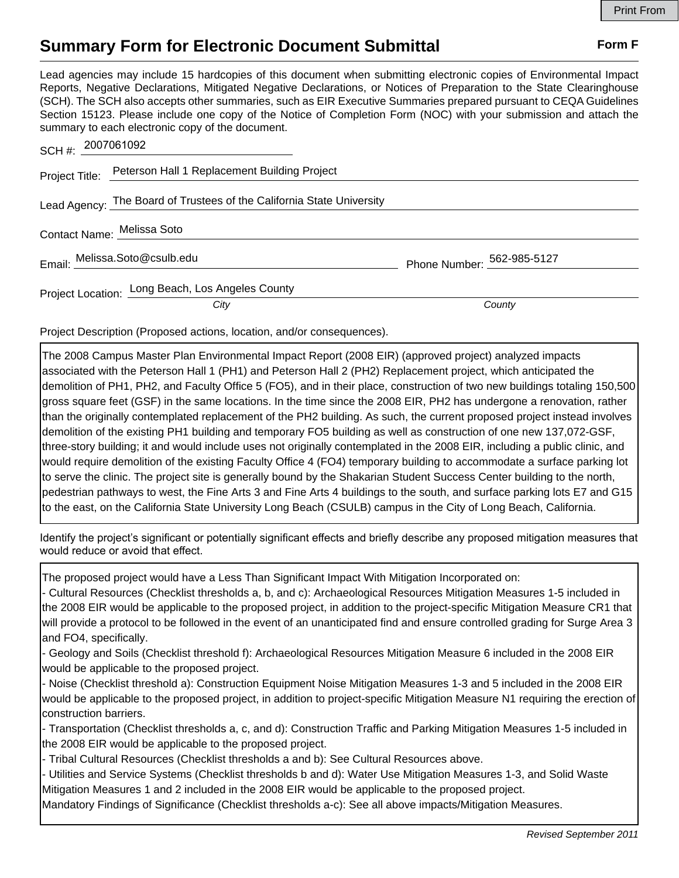## **Summary Form for Electronic Document Submittal Form F Form F**

Lead agencies may include 15 hardcopies of this document when submitting electronic copies of Environmental Impact Reports, Negative Declarations, Mitigated Negative Declarations, or Notices of Preparation to the State Clearinghouse (SCH). The SCH also accepts other summaries, such as EIR Executive Summaries prepared pursuant to CEQA Guidelines Section 15123. Please include one copy of the Notice of Completion Form (NOC) with your submission and attach the summary to each electronic copy of the document.

| SCH #: 2007061092                                                     |                            |
|-----------------------------------------------------------------------|----------------------------|
| Project Title: Peterson Hall 1 Replacement Building Project           |                            |
| Lead Agency: The Board of Trustees of the California State University |                            |
| Contact Name: Melissa Soto                                            |                            |
| Email: Melissa.Soto@csulb.edu                                         | Phone Number: 562-985-5127 |
| Project Location: Long Beach, Los Angeles County<br>City              | County                     |

Project Description (Proposed actions, location, and/or consequences).

The 2008 Campus Master Plan Environmental Impact Report (2008 EIR) (approved project) analyzed impacts associated with the Peterson Hall 1 (PH1) and Peterson Hall 2 (PH2) Replacement project, which anticipated the demolition of PH1, PH2, and Faculty Office 5 (FO5), and in their place, construction of two new buildings totaling 150,500 gross square feet (GSF) in the same locations. In the time since the 2008 EIR, PH2 has undergone a renovation, rather than the originally contemplated replacement of the PH2 building. As such, the current proposed project instead involves demolition of the existing PH1 building and temporary FO5 building as well as construction of one new 137,072-GSF, three-story building; it and would include uses not originally contemplated in the 2008 EIR, including a public clinic, and would require demolition of the existing Faculty Office 4 (FO4) temporary building to accommodate a surface parking lot to serve the clinic. The project site is generally bound by the Shakarian Student Success Center building to the north, pedestrian pathways to west, the Fine Arts 3 and Fine Arts 4 buildings to the south, and surface parking lots E7 and G15 to the east, on the California State University Long Beach (CSULB) campus in the City of Long Beach, California.

Identify the project's significant or potentially significant effects and briefly describe any proposed mitigation measures that would reduce or avoid that effect.

The proposed project would have a Less Than Significant Impact With Mitigation Incorporated on:

- Cultural Resources (Checklist thresholds a, b, and c): Archaeological Resources Mitigation Measures 1-5 included in the 2008 EIR would be applicable to the proposed project, in addition to the project-specific Mitigation Measure CR1 that will provide a protocol to be followed in the event of an unanticipated find and ensure controlled grading for Surge Area 3 and FO4, specifically.

- Geology and Soils (Checklist threshold f): Archaeological Resources Mitigation Measure 6 included in the 2008 EIR would be applicable to the proposed project.

- Noise (Checklist threshold a): Construction Equipment Noise Mitigation Measures 1-3 and 5 included in the 2008 EIR would be applicable to the proposed project, in addition to project-specific Mitigation Measure N1 requiring the erection of construction barriers.

- Transportation (Checklist thresholds a, c, and d): Construction Traffic and Parking Mitigation Measures 1-5 included in the 2008 EIR would be applicable to the proposed project.

- Tribal Cultural Resources (Checklist thresholds a and b): See Cultural Resources above.

- Utilities and Service Systems (Checklist thresholds b and d): Water Use Mitigation Measures 1-3, and Solid Waste Mitigation Measures 1 and 2 included in the 2008 EIR would be applicable to the proposed project.

Mandatory Findings of Significance (Checklist thresholds a-c): See all above impacts/Mitigation Measures.